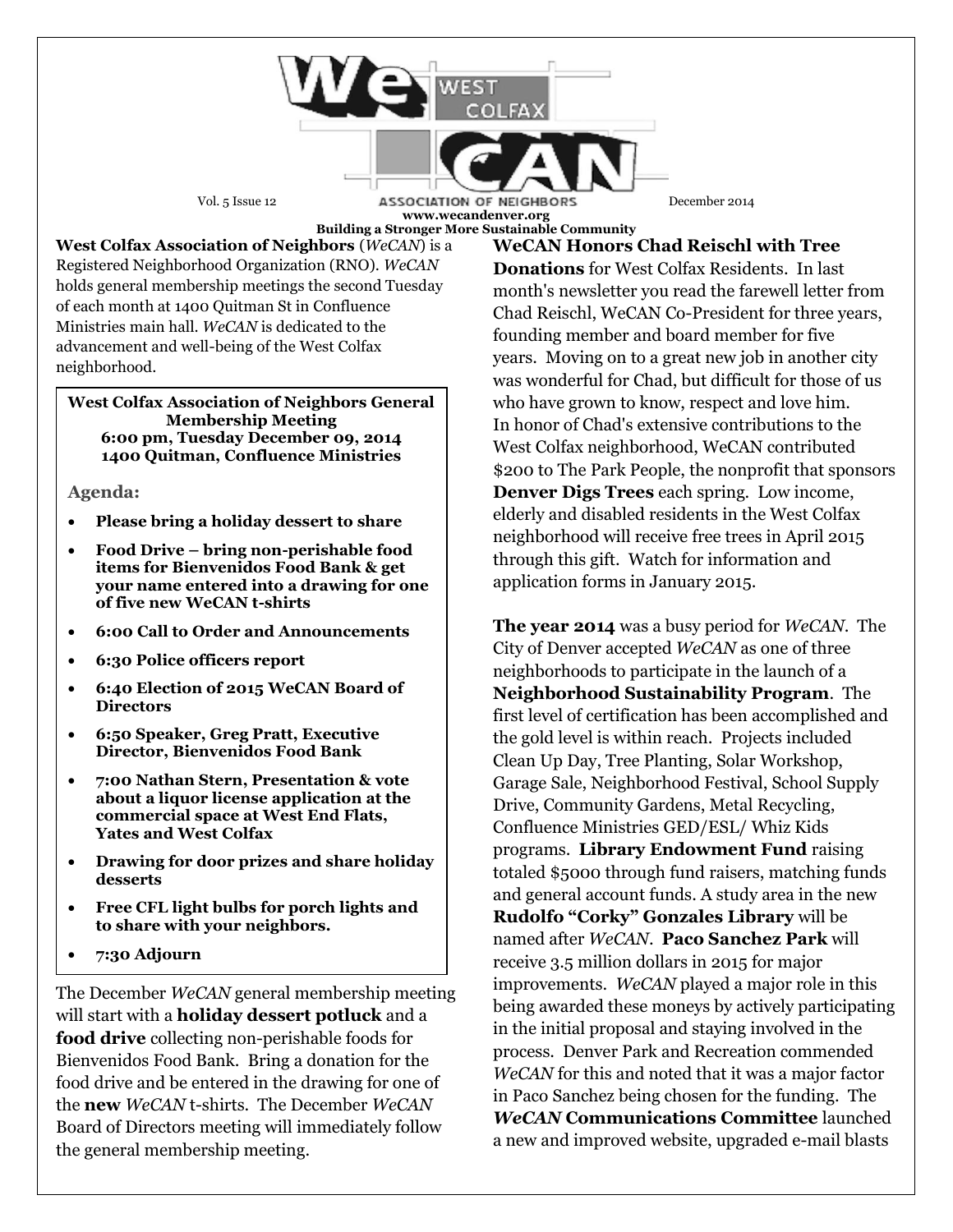Vol. 5 Issue 12 **ASSOCIATION OF NEIGHBORS** December 2014 **www.wecandenver.org Building a Stronger More Sustainable Community**

**West Colfax Association of Neighbors** (*WeCAN*) is a Registered Neighborhood Organization (RNO). *WeCAN*  holds general membership meetings the second Tuesday of each month at 1400 Quitman St in Confluence Ministries main hall. *WeCAN* is dedicated to the advancement and well-being of the West Colfax neighborhood.

## **West Colfax Association of Neighbors General Membership Meeting 6:00 pm, Tuesday December 09, 2014 1400 Quitman, Confluence Ministries**

## **Agenda:**

- **Please bring a holiday dessert to share**
- **Food Drive – bring non-perishable food items for Bienvenidos Food Bank & get your name entered into a drawing for one of five new WeCAN t-shirts**
- **6:00 Call to Order and Announcements**
- **6:30 Police officers report**
- **6:40 Election of 2015 WeCAN Board of Directors**
- **6:50 Speaker, Greg Pratt, Executive Director, Bienvenidos Food Bank**
- **7:00 Nathan Stern, Presentation & vote about a liquor license application at the commercial space at West End Flats, Yates and West Colfax**
- **Drawing for door prizes and share holiday desserts**
- **Free CFL light bulbs for porch lights and to share with your neighbors.**
- **7:30 Adjourn**

The December *WeCAN* general membership meeting will start with a **holiday dessert potluck** and a **food drive** collecting non-perishable foods for Bienvenidos Food Bank. Bring a donation for the food drive and be entered in the drawing for one of the **new** *WeCAN* t-shirts. The December *WeCAN* Board of Directors meeting will immediately follow the general membership meeting.

**WeCAN Honors Chad Reischl with Tree Donations** for West Colfax Residents. In last month's newsletter you read the farewell letter from Chad Reischl, WeCAN Co-President for three years, founding member and board member for five years. Moving on to a great new job in another city was wonderful for Chad, but difficult for those of us who have grown to know, respect and love him. In honor of Chad's extensive contributions to the West Colfax neighborhood, WeCAN contributed \$200 to The Park People, the nonprofit that sponsors **Denver Digs Trees** each spring. Low income, elderly and disabled residents in the West Colfax neighborhood will receive free trees in April 2015 through this gift. Watch for information and application forms in January 2015.

**The year 2014** was a busy period for *WeCAN*. The City of Denver accepted *WeCAN* as one of three neighborhoods to participate in the launch of a **Neighborhood Sustainability Program**. The first level of certification has been accomplished and the gold level is within reach. Projects included Clean Up Day, Tree Planting, Solar Workshop, Garage Sale, Neighborhood Festival, School Supply Drive, Community Gardens, Metal Recycling, Confluence Ministries GED/ESL/ Whiz Kids programs. **Library Endowment Fund** raising totaled \$5000 through fund raisers, matching funds and general account funds. A study area in the new **Rudolfo "Corky" Gonzales Library** will be named after *WeCAN*. **Paco Sanchez Park** will receive 3.5 million dollars in 2015 for major improvements. *WeCAN* played a major role in this being awarded these moneys by actively participating in the initial proposal and staying involved in the process. Denver Park and Recreation commended *WeCAN* for this and noted that it was a major factor in Paco Sanchez being chosen for the funding. The *WeCAN* **Communications Committee** launched a new and improved website, upgraded e-mail blasts